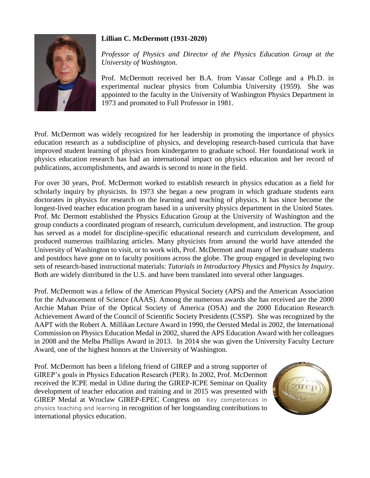## **Lillian C. McDermott (1931-2020)**



*Professor of Physics and Director of the Physics Education Group at the University of Washington.*

Prof. McDermott received her B.A. from Vassar College and a Ph.D. in experimental nuclear physics from Columbia University (1959). She was appointed to the faculty in the University of Washington Physics Department in 1973 and promoted to Full Professor in 1981.

Prof. McDermott was widely recognized for her leadership in promoting the importance of physics education research as a subdiscipline of physics, and developing research-based curricula that have improved student learning of physics from kindergarten to graduate school. Her foundational work in physics education research has had an international impact on physics education and her record of publications, accomplishments, and awards is second to none in the field.

For over 30 years, Prof. McDermott worked to establish research in physics education as a field for scholarly inquiry by physicists. In 1973 she began a new program in which graduate students earn doctorates in physics for research on the learning and teaching of physics. It has since become the longest-lived teacher education program based in a university physics department in the United States. Prof. Mc Dermott established the Physics Education Group at the University of Washington and the group conducts a coordinated program of research, curriculum development, and instruction. The group has served as a model for discipline-specific educational research and curriculum development, and produced numerous trailblazing articles. Many physicists from around the world have attended the University of Washington to visit, or to work with, Prof. McDermott and many of her graduate students and postdocs have gone on to faculty positions across the globe. The group engaged in developing two sets of research-based instructional materials: *Tutorials in Introductory Physics* and *Physics by Inquiry*. Both are widely distributed in the U.S. and have been translated into several other languages.

Prof. McDermott was a fellow of the American Physical Society (APS) and the American Association for the Advancement of Science (AAAS). Among the numerous awards she has received are the 2000 Archie Mahan Prize of the Optical Society of America (OSA) and the 2000 Education Research Achievement Award of the Council of Scientific Society Presidents (CSSP). She was recognized by the AAPT with the Robert A. Millikan Lecture Award in 1990, the Oersted Medal in 2002, the International Commission on Physics Education Medal in 2002, shared the APS Education Award with her colleagues in 2008 and the Melba Phillips Award in 2013. In 2014 she was given the University Faculty Lecture Award, one of the highest honors at the University of Washington.

Prof. McDermott has been a lifelong friend of GIREP and a strong supporter of GIREP's goals in Physics Education Research (PER). In 2002, Prof. McDermott received the ICPE medal in Udine during the GIREP-ICPE Seminar on Quality development of teacher education and training and in 2015 was presented with GIREP Medal at Wroclaw GIREP-EPEC Congress on Key competences in physics teaching and learning in recognition of her longstanding contributions to international physics education.